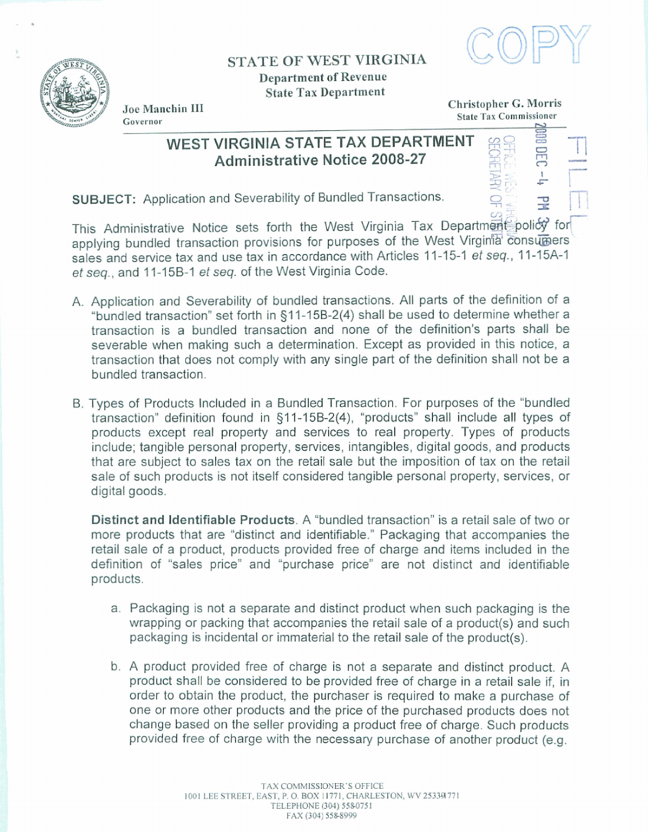

## **STATE OF WEST VIRGINIA Department of Revenue State Tax Department**



**State Tax Commissioner State <b>Pax Commissioner w W** 

**Joe Manchin 111 Christopher** *G.* **Morris**  State Tax Commissioner

> 151<br>1% M<br>121<br>11 G : -<br>受手<br>- 1

**<sup>q</sup>**;--

r

## WEST VIRGINIA STATE TAX DEPARTMENT<br>Administrative Notice 2008-27

SUBJECT: Application and Severability of Bundled Transactions.

 $\mathbb{Z}$  and This Administrative Notice sets forth the West Virginia Tax Department policy for applying bundled transaction provisions for purposes of the West Virginia consumers sales and service tax and use tax in accordance with Articles 11-15-1 et seq., 11-15A-1 **et seq., and f 1-1 5B-I et seq.** of the **West** Virginia Code.

- A. Application and Severability of bundled transactions. All parts of the definition of a "bundled transaction" set forth in §11-15B-2(4) shall be used to determine whether a transaction is a bundled transaction and **none** of the definition's parts **shall** be severable when making such a determination. Except as provided in this notice, a transaction that does not compty with **any** single part of the definition shall not be a bundled transaction.
- . Types **of** Products lncluded in a Bundled Transaction. For purposes of the "bundled transaction" definition found in 31 **1-15B-2(4),** "products" shall include all types of products except real property and services to real property, Types of products include; tangible personal property, services, **intangibles,** digital **goods,** and products that are subject to sales tax on the retail **sale but** the imposition of tax on the retail sale of such products is not itself considered tangible personal property, services, or digital goods.

**Distinct and Identifiable** Products. A "bundled transaction" is a retail sale **of two** or more products that are "distinct **and** identifiable." **Packaging that** accompanies the retail sale of a product, products **provided free** of charge and items included in the definition of "sales price" and "purchase price" are not distinct and identifiable products.

- a. **Packaging** is not a separate and distinct product when such packaging is the wrapping or packing that accompanies the retail sale of a product(s) and such packaging is incidental or immaterial to the retail **sale** of the **product(s).**
- b. A product provided free of charge is not a separate and distinct product. A product shall **he** considered to **be provided** free **of** charge in a retail sale if, in order to obtain the product, the purchaser is required to **make a** purchase **of one** or more other products and the price of the purchased products does not change based on the seller providing a product **free** of charge. Such **products**  provided free of charge with the necessary **purchase** of another **product (e.g.**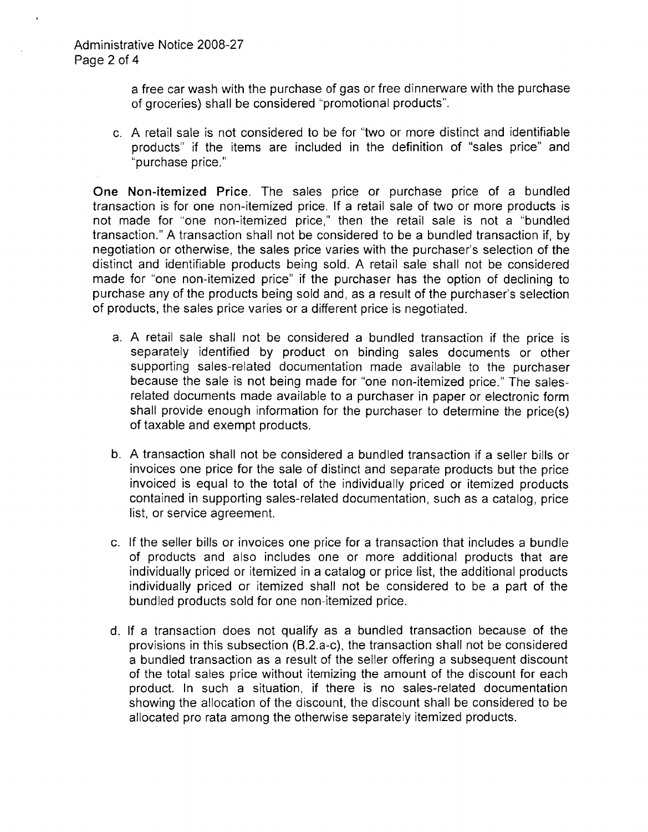a free car wash with the purchase of gas or free dinnerware with the purchase of groceries) shall be considered "promotional products".

c. A retail sale is not considered to be for "two or more distinct and identifiable products'' if the items are included in the definition of "sales price" and "purchase price."

**One Non-itemized Price.** The sales price or purchase price of a bundled transaction is for one non-itemized price. If a retail sale of two or more products is not made for "one non-itemized price," then the retail sale is not a "bundled transaction." A transaction shall not be considered to be a bundled transaction if, by negotiation or otherwise, the sales price varies with the purchaser's selection of the distinct and identifiable products being sold. A retail sale shall not be considered made for "one non-itemized price" if the purchaser has the option of declining to purchase any of the products being sold and, as a result of the purchaser's selection of products, the sales price varies or a different price is negotiated.

- a. A retail sale shall not be considered a bundled transaction if the price is separately identified by product on binding sales documents or other supporting sales-related documentation made available to the purchaser because the sale is not being made for "one non-itemized price." The salesrelated documents made available to a purchaser in paper or electronic form shall provide enough information for the purchaser to determine the price(s) of taxable and exempt products.
- b. A transaction shall not be considered a bundled transaction if a seller bills or invoices one price for the sale of distinct and separate products but the price invoiced is equal to the total of the individually priced or itemized products contained in supporting sales-related documentation, such as a catalog, price list, or service agreement.
- c. If the seller bills or invoices one price for a transaction that includes a bundle of products and also includes one or more additional products that are individually priced or itemized in a catalog or price list, the additional products individually priced or itemized shall not be considered to be a part of the bundled products sold for one non-itemized price.
- d. If a transaction does not qualify as a bundled transaction because of the provisions in this subsection (B.2.a-c), the transaction shall not be considered a bundled transaction as a result of the seller offering a subsequent discount of the total sales price without itemizing the amount of the discount for each product. In such a situation, if there is no sales-related documentation showing the allocation of the discount, the discount shall be considered to be allocated pro rata among the otherwise separately itemized products.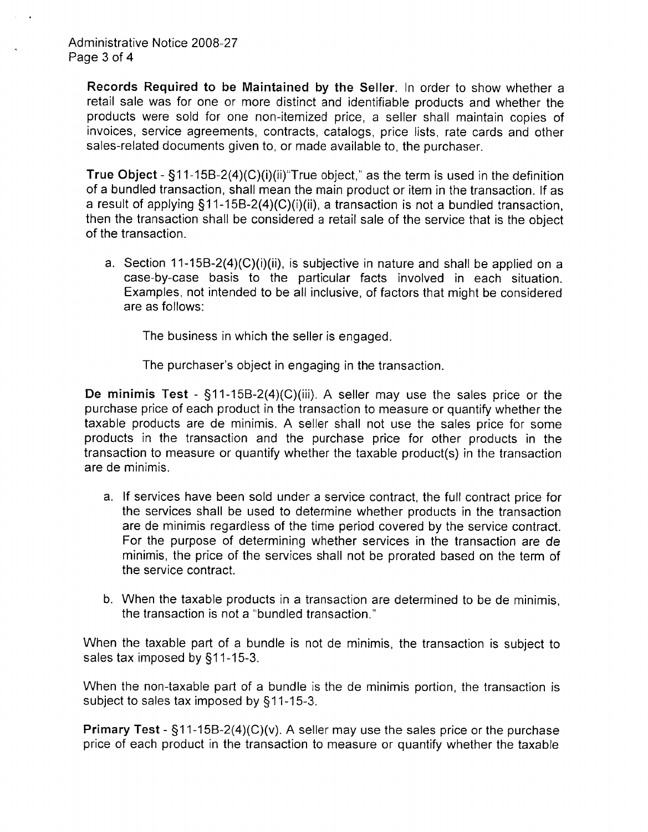**Records Required to be Maintained by the Seller.** In order to show whether a retail sale was for one or more distinct and identifiable products and whether the products were sold for one non-itemized price, a seller shall maintain copies of invoices, service agreements, contracts, catalogs, price lists, rate cards and other sales-related documents given to, or made available to, the purchaser.

**True Object -**  $\S$ **11-15B-2(4)(C)(i)(ii)** True object," as the term is used in the definition of a bundled transaction, shall mean the main product or item in the transaction. If as a result of applying \$1 1-15B-2(4)(C)(i)(ii), a transaction is not a bundled transaction, then the transaction shall be considered a retail sale of the service that is the object of the transaction.

a. Section 11-15B-2(4)(C)(i)(ii), is subjective in nature and shall be applied on a case-by-case basis to the particular facts involved in each situation. Examples, not intended to be all inclusive, of factors that might be considered are as follows:

The business in which the seller is engaged.

The purchaser's object in engaging in the transaction.

**De minimis Test** - \$11-15B-2(4)(C)(iii). A seller may use the sales price or the purchase price of each product in the transaction to measure or quantify whether the taxable products are de minimis. A seller shall not use the sales price for some products in the transaction and the purchase price for other products in the transaction to measure or quantify whether the taxable product(s) in the transaction are de minimis.

- a. If services have been sold under a service contract, the full contract price for the services shall be used to determine whether products in the transaction are de minimis regardless of the time period covered by the service contract. For the purpose of determining whether services in the transaction are de minimis, the price of the services shall not be prorated based on the term of the service contract.
- b. When the taxable products in a transaction are determined to be de minimis, the transaction is not a "bundled transaction.''

When the taxable part of a bundle is not de minimis, the transaction is subject to sales tax imposed by §11-15-3.

When the non-taxable part of a bundle is the de minimis portion, the transaction is subject to sales tax imposed by \$11-15-3.

**Primary Test** - §11-15B-2(4)(C)(v). A seller may use the sales price or the purchase price of each product in the transaction to measure or quantify whether the taxable